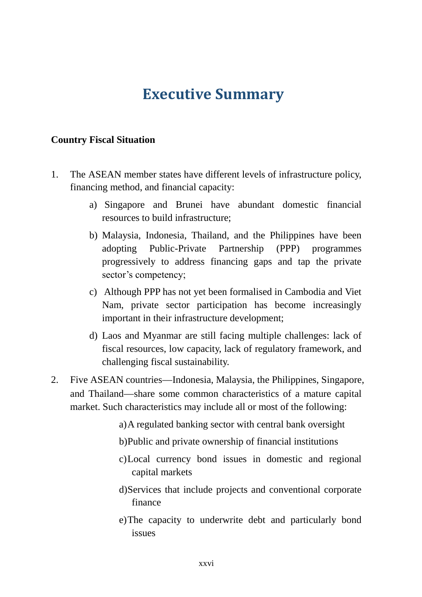# **Executive Summary**

#### **Country Fiscal Situation**

- 1. The ASEAN member states have different levels of infrastructure policy, financing method, and financial capacity:
	- a) Singapore and Brunei have abundant domestic financial resources to build infrastructure;
	- b) Malaysia, Indonesia, Thailand, and the Philippines have been adopting Public-Private Partnership (PPP) programmes progressively to address financing gaps and tap the private sector's competency;
	- c) Although PPP has not yet been formalised in Cambodia and Viet Nam, private sector participation has become increasingly important in their infrastructure development;
	- d) Laos and Myanmar are still facing multiple challenges: lack of fiscal resources, low capacity, lack of regulatory framework, and challenging fiscal sustainability.
- 2. Five ASEAN countries—Indonesia, Malaysia, the Philippines, Singapore, and Thailand—share some common characteristics of a mature capital market. Such characteristics may include all or most of the following:
	- a)A regulated banking sector with central bank oversight
	- b)Public and private ownership of financial institutions
	- c)Local currency bond issues in domestic and regional capital markets
	- d)Services that include projects and conventional corporate finance
	- e)The capacity to underwrite debt and particularly bond issues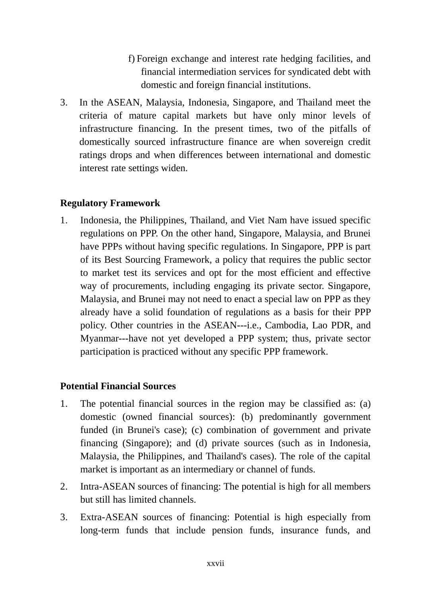- f) Foreign exchange and interest rate hedging facilities, and financial intermediation services for syndicated debt with domestic and foreign financial institutions.
- 3. In the ASEAN, Malaysia, Indonesia, Singapore, and Thailand meet the criteria of mature capital markets but have only minor levels of infrastructure financing. In the present times, two of the pitfalls of domestically sourced infrastructure finance are when sovereign credit ratings drops and when differences between international and domestic interest rate settings widen.

# **Regulatory Framework**

1. Indonesia, the Philippines, Thailand, and Viet Nam have issued specific regulations on PPP. On the other hand, Singapore, Malaysia, and Brunei have PPPs without having specific regulations. In Singapore, PPP is part of its Best Sourcing Framework, a policy that requires the public sector to market test its services and opt for the most efficient and effective way of procurements, including engaging its private sector. Singapore, Malaysia, and Brunei may not need to enact a special law on PPP as they already have a solid foundation of regulations as a basis for their PPP policy. Other countries in the ASEAN---i.e., Cambodia, Lao PDR, and Myanmar---have not yet developed a PPP system; thus, private sector participation is practiced without any specific PPP framework.

### **Potential Financial Sources**

- 1. The potential financial sources in the region may be classified as: (a) domestic (owned financial sources): (b) predominantly government funded (in Brunei's case); (c) combination of government and private financing (Singapore); and (d) private sources (such as in Indonesia, Malaysia, the Philippines, and Thailand's cases). The role of the capital market is important as an intermediary or channel of funds.
- 2. Intra-ASEAN sources of financing: The potential is high for all members but still has limited channels.
- 3. Extra-ASEAN sources of financing: Potential is high especially from long-term funds that include pension funds, insurance funds, and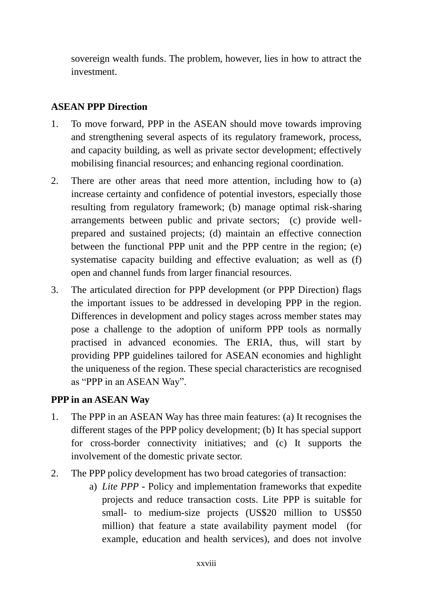sovereign wealth funds. The problem, however, lies in how to attract the investment.

## **ASEAN PPP Direction**

- 1. To move forward, PPP in the ASEAN should move towards improving and strengthening several aspects of its regulatory framework, process, and capacity building, as well as private sector development; effectively mobilising financial resources; and enhancing regional coordination.
- 2. There are other areas that need more attention, including how to (a) increase certainty and confidence of potential investors, especially those resulting from regulatory framework; (b) manage optimal risk-sharing arrangements between public and private sectors; (c) provide wellprepared and sustained projects; (d) maintain an effective connection between the functional PPP unit and the PPP centre in the region; (e) systematise capacity building and effective evaluation; as well as (f) open and channel funds from larger financial resources.
- 3. The articulated direction for PPP development (or PPP Direction) flags the important issues to be addressed in developing PPP in the region. Differences in development and policy stages across member states may pose a challenge to the adoption of uniform PPP tools as normally practised in advanced economies. The ERIA, thus, will start by providing PPP guidelines tailored for ASEAN economies and highlight the uniqueness of the region. These special characteristics are recognised as "PPP in an ASEAN Way".

### **PPP in an ASEAN Way**

- 1. The PPP in an ASEAN Way has three main features: (a) It recognises the different stages of the PPP policy development; (b) It has special support for cross-border connectivity initiatives; and (c) It supports the involvement of the domestic private sector.
- 2. The PPP policy development has two broad categories of transaction:
	- a) *Lite PPP -* Policy and implementation frameworks that expedite projects and reduce transaction costs. Lite PPP is suitable for small- to medium-size projects (US\$20 million to US\$50 million) that feature a state availability payment model (for example, education and health services), and does not involve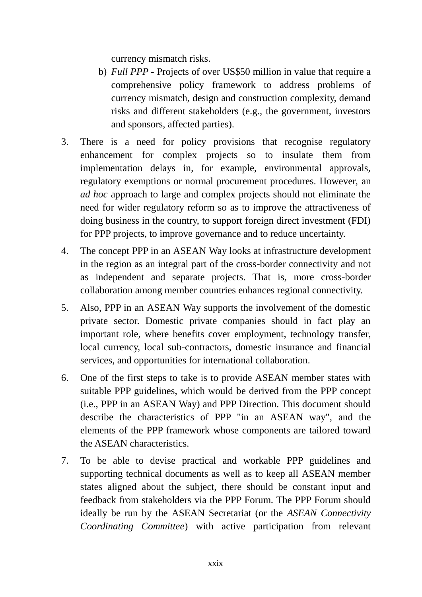currency mismatch risks.

- b) *Full PPP -* Projects of over US\$50 million in value that require a comprehensive policy framework to address problems of currency mismatch, design and construction complexity, demand risks and different stakeholders (e.g., the government, investors and sponsors, affected parties).
- 3. There is a need for policy provisions that recognise regulatory enhancement for complex projects so to insulate them from implementation delays in, for example, environmental approvals, regulatory exemptions or normal procurement procedures. However, an *ad hoc* approach to large and complex projects should not eliminate the need for wider regulatory reform so as to improve the attractiveness of doing business in the country, to support foreign direct investment (FDI) for PPP projects, to improve governance and to reduce uncertainty.
- 4. The concept PPP in an ASEAN Way looks at infrastructure development in the region as an integral part of the cross-border connectivity and not as independent and separate projects. That is, more cross-border collaboration among member countries enhances regional connectivity.
- 5. Also, PPP in an ASEAN Way supports the involvement of the domestic private sector. Domestic private companies should in fact play an important role, where benefits cover employment, technology transfer, local currency, local sub-contractors, domestic insurance and financial services, and opportunities for international collaboration.
- 6. One of the first steps to take is to provide ASEAN member states with suitable PPP guidelines, which would be derived from the PPP concept (i.e., PPP in an ASEAN Way) and PPP Direction. This document should describe the characteristics of PPP "in an ASEAN way", and the elements of the PPP framework whose components are tailored toward the ASEAN characteristics.
- 7. To be able to devise practical and workable PPP guidelines and supporting technical documents as well as to keep all ASEAN member states aligned about the subject, there should be constant input and feedback from stakeholders via the PPP Forum. The PPP Forum should ideally be run by the ASEAN Secretariat (or the *ASEAN Connectivity Coordinating Committee*) with active participation from relevant